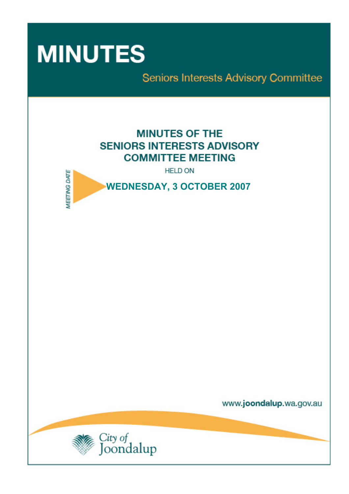

Seniors Interests Advisory Committee

# **MINUTES OF THE SENIORS INTERESTS ADVISORY COMMITTEE MEETING**

**HELD ON** 



www.joondalup.wa.gov.au

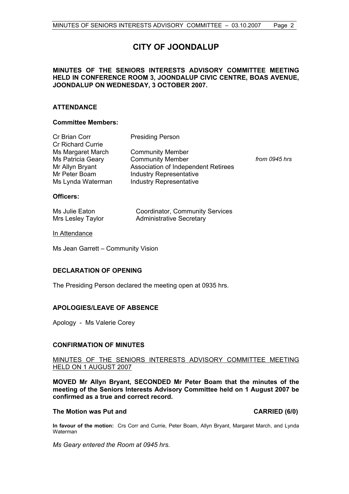## **CITY OF JOONDALUP**

## **MINUTES OF THE SENIORS INTERESTS ADVISORY COMMITTEE MEETING HELD IN CONFERENCE ROOM 3, JOONDALUP CIVIC CENTRE, BOAS AVENUE, JOONDALUP ON WEDNESDAY, 3 OCTOBER 2007.**

## **ATTENDANCE**

## **Committee Members:**

| Cr Brian Corr            | <b>Presiding Person</b>             |               |
|--------------------------|-------------------------------------|---------------|
| <b>Cr Richard Currie</b> |                                     |               |
| Ms Margaret March        | <b>Community Member</b>             |               |
| Ms Patricia Geary        | <b>Community Member</b>             | from 0945 hrs |
| Mr Allyn Bryant          | Association of Independent Retirees |               |
| Mr Peter Boam            | <b>Industry Representative</b>      |               |
| Ms Lynda Waterman        | <b>Industry Representative</b>      |               |

## **Officers:**

| Ms Julie Eaton    | Coordinator, Community Services |
|-------------------|---------------------------------|
| Mrs Lesley Taylor | <b>Administrative Secretary</b> |

## In Attendance

Ms Jean Garrett – Community Vision

## **DECLARATION OF OPENING**

The Presiding Person declared the meeting open at 0935 hrs.

## **APOLOGIES/LEAVE OF ABSENCE**

Apology - Ms Valerie Corey

## **CONFIRMATION OF MINUTES**

## MINUTES OF THE SENIORS INTERESTS ADVISORY COMMITTEE MEETING HELD ON 1 AUGUST 2007

**MOVED Mr Allyn Bryant, SECONDED Mr Peter Boam that the minutes of the meeting of the Seniors Interests Advisory Committee held on 1 August 2007 be confirmed as a true and correct record.** 

### **The Motion was Put and CARRIED (6/0)**

**In favour of the motion:** Crs Corr and Currie, Peter Boam, Allyn Bryant, Margaret March, and Lynda Waterman

*Ms Geary entered the Room at 0945 hrs.*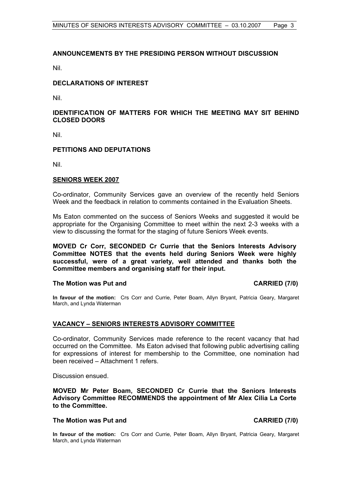## **ANNOUNCEMENTS BY THE PRESIDING PERSON WITHOUT DISCUSSION**

Nil.

## **DECLARATIONS OF INTEREST**

Nil.

## **IDENTIFICATION OF MATTERS FOR WHICH THE MEETING MAY SIT BEHIND CLOSED DOORS**

Nil.

## **PETITIONS AND DEPUTATIONS**

Nil.

## **SENIORS WEEK 2007**

Co-ordinator, Community Services gave an overview of the recently held Seniors Week and the feedback in relation to comments contained in the Evaluation Sheets.

Ms Eaton commented on the success of Seniors Weeks and suggested it would be appropriate for the Organising Committee to meet within the next 2-3 weeks with a view to discussing the format for the staging of future Seniors Week events.

**MOVED Cr Corr, SECONDED Cr Currie that the Seniors Interests Advisory Committee NOTES that the events held during Seniors Week were highly successful, were of a great variety, well attended and thanks both the Committee members and organising staff for their input.** 

## The Motion was Put and **CARRIED** (7/0)

**In favour of the motion:** Crs Corr and Currie, Peter Boam, Allyn Bryant, Patricia Geary, Margaret March, and Lynda Waterman

## **VACANCY – SENIORS INTERESTS ADVISORY COMMITTEE**

Co-ordinator, Community Services made reference to the recent vacancy that had occurred on the Committee. Ms Eaton advised that following public advertising calling for expressions of interest for membership to the Committee, one nomination had been received – Attachment 1 refers.

Discussion ensued.

**MOVED Mr Peter Boam, SECONDED Cr Currie that the Seniors Interests Advisory Committee RECOMMENDS the appointment of Mr Alex Cilia La Corte to the Committee.** 

### **The Motion was Put and CARRIED (7/0)**

**In favour of the motion:** Crs Corr and Currie, Peter Boam, Allyn Bryant, Patricia Geary, Margaret March, and Lynda Waterman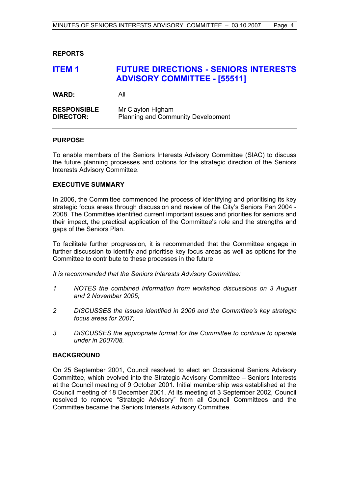## **REPORTS**

## **ITEM 1 FUTURE DIRECTIONS - SENIORS INTERESTS ADVISORY COMMITTEE - [55511]**

**WARD:** All

| <b>RESPONSIBLE</b> | Mr Clayton Higham                         |
|--------------------|-------------------------------------------|
| <b>DIRECTOR:</b>   | <b>Planning and Community Development</b> |

## **PURPOSE**

To enable members of the Seniors Interests Advisory Committee (SIAC) to discuss the future planning processes and options for the strategic direction of the Seniors Interests Advisory Committee.

## **EXECUTIVE SUMMARY**

In 2006, the Committee commenced the process of identifying and prioritising its key strategic focus areas through discussion and review of the City's Seniors Pan 2004 - 2008. The Committee identified current important issues and priorities for seniors and their impact, the practical application of the Committee's role and the strengths and gaps of the Seniors Plan.

To facilitate further progression, it is recommended that the Committee engage in further discussion to identify and prioritise key focus areas as well as options for the Committee to contribute to these processes in the future.

*It is recommended that the Seniors Interests Advisory Committee:* 

- *1 NOTES the combined information from workshop discussions on 3 August and 2 November 2005;*
- *2 DISCUSSES the issues identified in 2006 and the Committee's key strategic focus areas for 2007;*
- *3 DISCUSSES the appropriate format for the Committee to continue to operate under in 2007/08.*

## **BACKGROUND**

On 25 September 2001, Council resolved to elect an Occasional Seniors Advisory Committee, which evolved into the Strategic Advisory Committee – Seniors Interests at the Council meeting of 9 October 2001. Initial membership was established at the Council meeting of 18 December 2001. At its meeting of 3 September 2002, Council resolved to remove "Strategic Advisory" from all Council Committees and the Committee became the Seniors Interests Advisory Committee.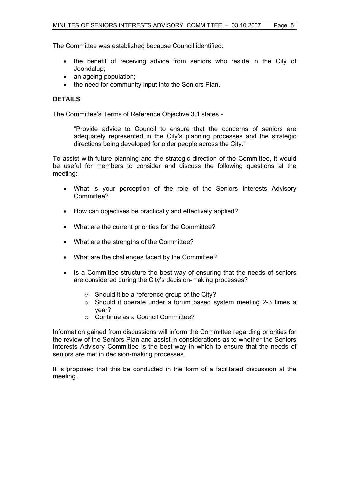The Committee was established because Council identified:

- the benefit of receiving advice from seniors who reside in the City of Joondalup;
- an ageing population;
- the need for community input into the Seniors Plan.

## **DETAILS**

The Committee's Terms of Reference Objective 3.1 states -

"Provide advice to Council to ensure that the concerns of seniors are adequately represented in the City's planning processes and the strategic directions being developed for older people across the City."

To assist with future planning and the strategic direction of the Committee, it would be useful for members to consider and discuss the following questions at the meeting:

- What is your perception of the role of the Seniors Interests Advisory Committee?
- How can objectives be practically and effectively applied?
- What are the current priorities for the Committee?
- What are the strengths of the Committee?
- What are the challenges faced by the Committee?
- Is a Committee structure the best way of ensuring that the needs of seniors are considered during the City's decision-making processes?
	- o Should it be a reference group of the City?
	- o Should it operate under a forum based system meeting 2-3 times a year?
	- o Continue as a Council Committee?

Information gained from discussions will inform the Committee regarding priorities for the review of the Seniors Plan and assist in considerations as to whether the Seniors Interests Advisory Committee is the best way in which to ensure that the needs of seniors are met in decision-making processes.

It is proposed that this be conducted in the form of a facilitated discussion at the meeting.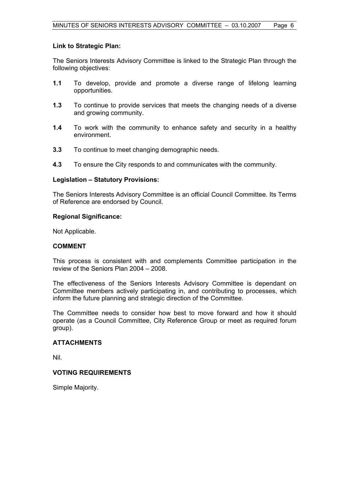## **Link to Strategic Plan:**

The Seniors Interests Advisory Committee is linked to the Strategic Plan through the following objectives:

- **1.1** To develop, provide and promote a diverse range of lifelong learning opportunities.
- **1.3** To continue to provide services that meets the changing needs of a diverse and growing community.
- **1.4** To work with the community to enhance safety and security in a healthy environment.
- **3.3** To continue to meet changing demographic needs.
- **4.3** To ensure the City responds to and communicates with the community.

## **Legislation – Statutory Provisions:**

The Seniors Interests Advisory Committee is an official Council Committee. Its Terms of Reference are endorsed by Council.

## **Regional Significance:**

Not Applicable.

## **COMMENT**

This process is consistent with and complements Committee participation in the review of the Seniors Plan 2004 – 2008.

The effectiveness of the Seniors Interests Advisory Committee is dependant on Committee members actively participating in, and contributing to processes, which inform the future planning and strategic direction of the Committee.

The Committee needs to consider how best to move forward and how it should operate (as a Council Committee, City Reference Group or meet as required forum group).

## **ATTACHMENTS**

Nil.

## **VOTING REQUIREMENTS**

Simple Majority.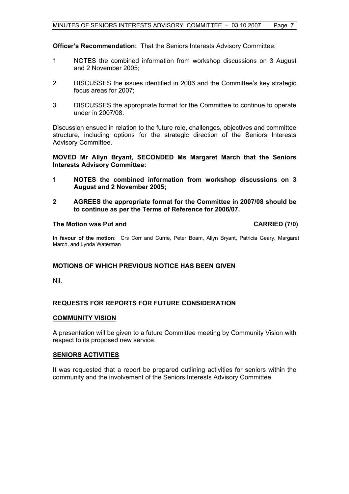**Officer's Recommendation:** That the Seniors Interests Advisory Committee:

- 1 NOTES the combined information from workshop discussions on 3 August and 2 November 2005;
- 2 DISCUSSES the issues identified in 2006 and the Committee's key strategic focus areas for 2007;
- 3 DISCUSSES the appropriate format for the Committee to continue to operate under in 2007/08.

Discussion ensued in relation to the future role, challenges, objectives and committee structure, including options for the strategic direction of the Seniors Interests Advisory Committee.

## **MOVED Mr Allyn Bryant, SECONDED Ms Margaret March that the Seniors Interests Advisory Committee:**

- **1 NOTES the combined information from workshop discussions on 3 August and 2 November 2005;**
- **2 AGREES the appropriate format for the Committee in 2007/08 should be to continue as per the Terms of Reference for 2006/07.**

## **The Motion was Put and CARRIED (7/0)**

**In favour of the motion:** Crs Corr and Currie, Peter Boam, Allyn Bryant, Patricia Geary, Margaret March, and Lynda Waterman

## **MOTIONS OF WHICH PREVIOUS NOTICE HAS BEEN GIVEN**

Nil.

## **REQUESTS FOR REPORTS FOR FUTURE CONSIDERATION**

## **COMMUNITY VISION**

A presentation will be given to a future Committee meeting by Community Vision with respect to its proposed new service.

## **SENIORS ACTIVITIES**

It was requested that a report be prepared outlining activities for seniors within the community and the involvement of the Seniors Interests Advisory Committee.